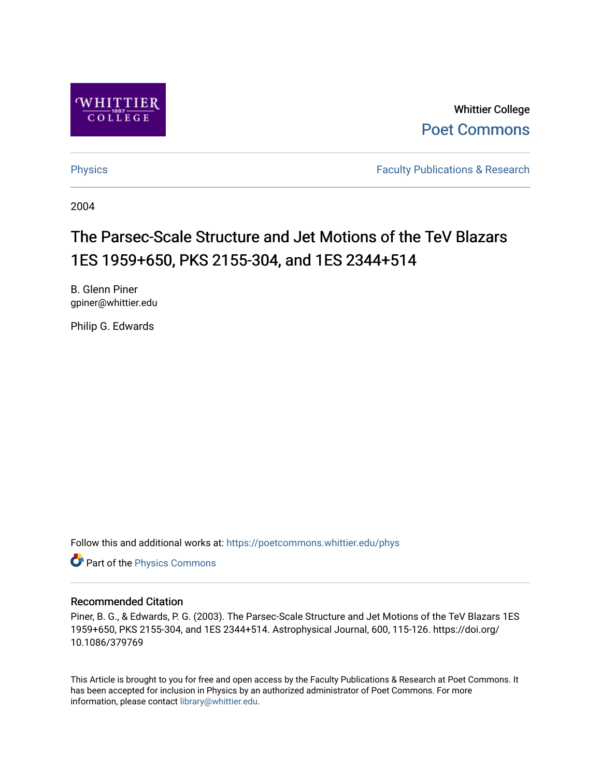

Whittier College [Poet Commons](https://poetcommons.whittier.edu/) 

[Physics](https://poetcommons.whittier.edu/phys) **Faculty Publications & Research Physics Faculty Publications & Research** 

2004

# The Parsec-Scale Structure and Jet Motions of the TeV Blazars 1ES 1959+650, PKS 2155-304, and 1ES 2344+514

B. Glenn Piner gpiner@whittier.edu

Philip G. Edwards

Follow this and additional works at: [https://poetcommons.whittier.edu/phys](https://poetcommons.whittier.edu/phys?utm_source=poetcommons.whittier.edu%2Fphys%2F10&utm_medium=PDF&utm_campaign=PDFCoverPages)

Part of the [Physics Commons](http://network.bepress.com/hgg/discipline/193?utm_source=poetcommons.whittier.edu%2Fphys%2F10&utm_medium=PDF&utm_campaign=PDFCoverPages)

# Recommended Citation

Piner, B. G., & Edwards, P. G. (2003). The Parsec-Scale Structure and Jet Motions of the TeV Blazars 1ES 1959+650, PKS 2155-304, and 1ES 2344+514. Astrophysical Journal, 600, 115-126. https://doi.org/ 10.1086/379769

This Article is brought to you for free and open access by the Faculty Publications & Research at Poet Commons. It has been accepted for inclusion in Physics by an authorized administrator of Poet Commons. For more information, please contact [library@whittier.edu.](mailto:library@whittier.edu)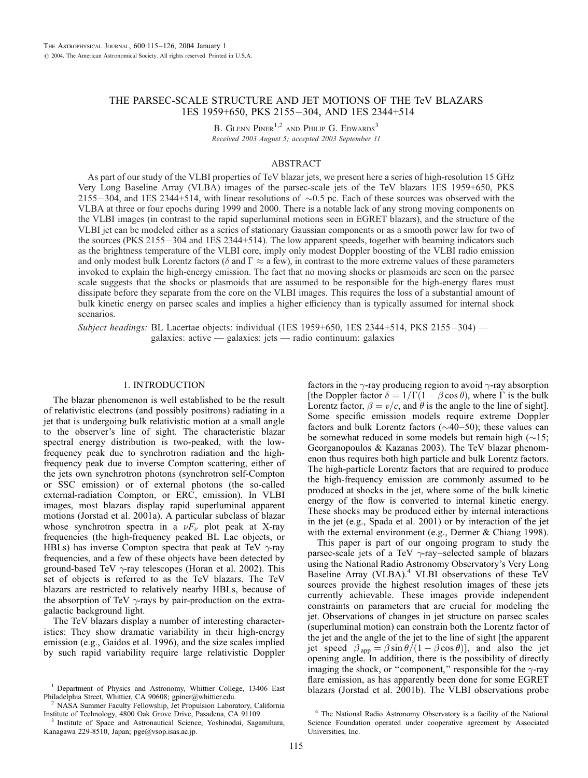# THE PARSEC-SCALE STRUCTURE AND JET MOTIONS OF THE TeV BLAZARS 1ES 1959+650, PKS 2155-304, AND 1ES 2344+514

B. GLENN PINER<sup>1,2</sup> AND PHILIP G. EDWARDS<sup>3</sup> Received 2003 August 5; accepted 2003 September 11

# ABSTRACT

As part of our study of the VLBI properties of TeV blazar jets, we present here a series of high-resolution 15 GHz Very Long Baseline Array (VLBA) images of the parsec-scale jets of the TeV blazars 1ES 1959+650, PKS 2155-304, and 1ES 2344+514, with linear resolutions of  $\sim 0.5$  pc. Each of these sources was observed with the VLBA at three or four epochs during 1999 and 2000. There is a notable lack of any strong moving components on the VLBI images (in contrast to the rapid superluminal motions seen in EGRET blazars), and the structure of the VLBI jet can be modeled either as a series of stationary Gaussian components or as a smooth power law for two of the sources (PKS 2155-304 and 1ES 2344+514). The low apparent speeds, together with beaming indicators such as the brightness temperature of the VLBI core, imply only modest Doppler boosting of the VLBI radio emission and only modest bulk Lorentz factors ( $\delta$  and  $\Gamma \approx a$  few), in contrast to the more extreme values of these parameters invoked to explain the high-energy emission. The fact that no moving shocks or plasmoids are seen on the parsec scale suggests that the shocks or plasmoids that are assumed to be responsible for the high-energy flares must dissipate before they separate from the core on the VLBI images. This requires the loss of a substantial amount of bulk kinetic energy on parsec scales and implies a higher efficiency than is typically assumed for internal shock scenarios.

Subject headings: BL Lacertae objects: individual (1ES 1959+650, 1ES 2344+514, PKS 2155-304) galaxies: active — galaxies: jets — radio continuum: galaxies

# 1. INTRODUCTION

The blazar phenomenon is well established to be the result of relativistic electrons (and possibly positrons) radiating in a jet that is undergoing bulk relativistic motion at a small angle to the observer's line of sight. The characteristic blazar spectral energy distribution is two-peaked, with the lowfrequency peak due to synchrotron radiation and the highfrequency peak due to inverse Compton scattering, either of the jets own synchrotron photons (synchrotron self-Compton or SSC emission) or of external photons (the so-called external-radiation Compton, or ERC, emission). In VLBI images, most blazars display rapid superluminal apparent motions (Jorstad et al. 2001a). A particular subclass of blazar whose synchrotron spectra in a  $\nu F_{\nu}$  plot peak at X-ray frequencies (the high-frequency peaked BL Lac objects, or HBLs) has inverse Compton spectra that peak at TeV  $\gamma$ -ray frequencies, and a few of these objects have been detected by ground-based TeV  $\gamma$ -ray telescopes (Horan et al. 2002). This set of objects is referred to as the TeV blazars. The TeV blazars are restricted to relatively nearby HBLs, because of the absorption of TeV  $\gamma$ -rays by pair-production on the extragalactic background light.

The TeV blazars display a number of interesting characteristics: They show dramatic variability in their high-energy emission (e.g., Gaidos et al. 1996), and the size scales implied by such rapid variability require large relativistic Doppler

NASA Summer Faculty Fellowship, Jet Propulsion Laboratory, California Institute of Technology, 4800 Oak Grove Drive, Pasadena, CA 91109. <sup>3</sup> Institute of Space and Astronautical Science, Yoshinodai, Sagamihara,

factors in the  $\gamma$ -ray producing region to avoid  $\gamma$ -ray absorption [the Doppler factor  $\delta = 1/\Gamma(1 - \beta \cos \theta)$ , where  $\Gamma$  is the bulk Lorentz factor,  $\beta = v/c$ , and  $\theta$  is the angle to the line of sight]. Some specific emission models require extreme Doppler factors and bulk Lorentz factors  $(\sim40-50)$ ; these values can be somewhat reduced in some models but remain high  $(\sim 15;$ Georganopoulos & Kazanas 2003). The TeV blazar phenomenon thus requires both high particle and bulk Lorentz factors. The high-particle Lorentz factors that are required to produce the high-frequency emission are commonly assumed to be produced at shocks in the jet, where some of the bulk kinetic energy of the flow is converted to internal kinetic energy. These shocks may be produced either by internal interactions in the jet (e.g., Spada et al. 2001) or by interaction of the jet with the external environment (e.g., Dermer & Chiang 1998).

This paper is part of our ongoing program to study the parsec-scale jets of a TeV  $\gamma$ -ray–selected sample of blazars using the National Radio Astronomy Observatory's Very Long Baseline Array (VLBA).<sup>4</sup> VLBI observations of these TeV sources provide the highest resolution images of these jets currently achievable. These images provide independent constraints on parameters that are crucial for modeling the jet. Observations of changes in jet structure on parsec scales (superluminal motion) can constrain both the Lorentz factor of the jet and the angle of the jet to the line of sight [the apparent jet speed  $\beta_{app} = \beta \sin \theta / (1 - \beta \cos \theta)$ , and also the jet opening angle. In addition, there is the possibility of directly imaging the shock, or "component," responsible for the  $\gamma$ -ray flare emission, as has apparently been done for some EGRET

<sup>&</sup>lt;sup>1</sup> Department of Physics and Astronomy, Whittier College, 13406 East blazars (Jorstad et al. 2001b). The VLBI observations probe Philadelphia Street, Whittier, CA 90608; gpiner@whittier.edu.

Kanagawa 229-8510, Japan; pge@vsop.isas.ac.jp.

<sup>4</sup> The National Radio Astronomy Observatory is a facility of the National Science Foundation operated under cooperative agreement by Associated Universities, Inc.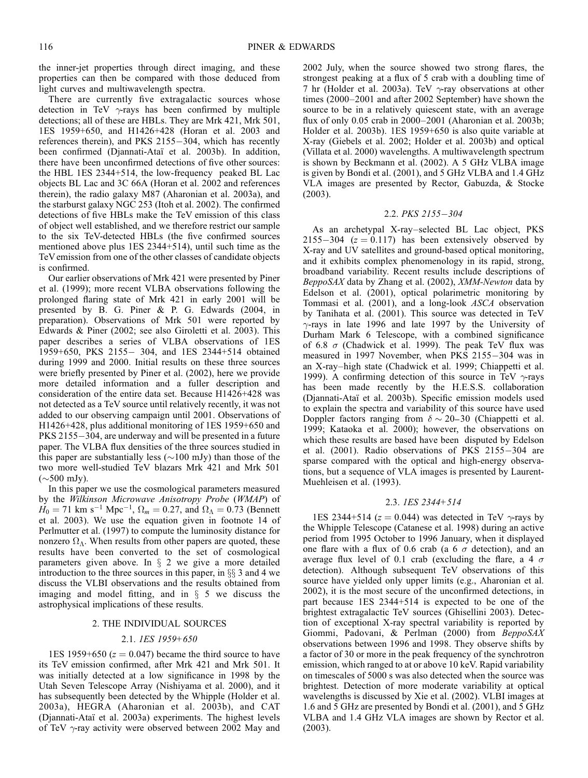the inner-jet properties through direct imaging, and these properties can then be compared with those deduced from light curves and multiwavelength spectra.

There are currently five extragalactic sources whose detection in TeV  $\gamma$ -rays has been confirmed by multiple detections; all of these are HBLs. They are Mrk 421, Mrk 501, 1ES 1959+650, and H1426+428 (Horan et al. 2003 and references therein), and PKS 2155-304, which has recently been confirmed (Djannati-Ataï et al. 2003b). In addition, there have been unconfirmed detections of five other sources: the HBL 1ES 2344+514, the low-frequency peaked BL Lac objects BL Lac and 3C 66A (Horan et al. 2002 and references therein), the radio galaxy M87 (Aharonian et al. 2003a), and the starburst galaxy NGC 253 (Itoh et al. 2002). The confirmed detections of five HBLs make the TeV emission of this class of object well established, and we therefore restrict our sample to the six TeV-detected HBLs (the five confirmed sources mentioned above plus 1ES 2344+514), until such time as the TeV emission from one of the other classes of candidate objects is confirmed.

Our earlier observations of Mrk 421 were presented by Piner et al. (1999); more recent VLBA observations following the prolonged flaring state of Mrk 421 in early 2001 will be presented by B. G. Piner & P. G. Edwards (2004, in preparation). Observations of Mrk 501 were reported by Edwards & Piner (2002; see also Giroletti et al. 2003). This paper describes a series of VLBA observations of 1ES 1959+650, PKS 2155- 304, and 1ES 2344+514 obtained during 1999 and 2000. Initial results on these three sources were briefly presented by Piner et al. (2002), here we provide more detailed information and a fuller description and consideration of the entire data set. Because H1426+428 was not detected as a TeV source until relatively recently, it was not added to our observing campaign until 2001. Observations of H1426+428, plus additional monitoring of 1ES 1959+650 and PKS 2155-304, are underway and will be presented in a future paper. The VLBA flux densities of the three sources studied in this paper are substantially less  $(\sim]100$  mJy) than those of the two more well-studied TeV blazars Mrk 421 and Mrk 501  $(\sim]500$  mJy).

In this paper we use the cosmological parameters measured by the Wilkinson Microwave Anisotropy Probe (WMAP) of  $H_0 = 71$  km s<sup>-1</sup> Mpc<sup>-1</sup>,  $\Omega_m = 0.27$ , and  $\Omega_{\Lambda} = 0.73$  (Bennett et al. 2003). We use the equation given in footnote 14 of Perlmutter et al. (1997) to compute the luminosity distance for nonzero  $\Omega_{\Lambda}$ . When results from other papers are quoted, these results have been converted to the set of cosmological parameters given above. In  $\S$  2 we give a more detailed introduction to the three sources in this paper, in  $\S$  3 and 4 we discuss the VLBI observations and the results obtained from imaging and model fitting, and in  $\S$  5 we discuss the astrophysical implications of these results.

# 2. THE INDIVIDUAL SOURCES

#### 2.1. 1ES 1959+650

1ES 1959+650 ( $z = 0.047$ ) became the third source to have its TeV emission confirmed, after Mrk 421 and Mrk 501. It was initially detected at a low significance in 1998 by the Utah Seven Telescope Array (Nishiyama et al. 2000), and it has subsequently been detected by the Whipple (Holder et al. 2003a), HEGRA (Aharonian et al. 2003b), and CAT (Djannati-Ataı¨ et al. 2003a) experiments. The highest levels of TeV  $\gamma$ -ray activity were observed between 2002 May and

2002 July, when the source showed two strong flares, the strongest peaking at a flux of 5 crab with a doubling time of 7 hr (Holder et al. 2003a). TeV  $\gamma$ -ray observations at other times (2000–2001 and after 2002 September) have shown the source to be in a relatively quiescent state, with an average flux of only 0.05 crab in 2000–2001 (Aharonian et al. 2003b; Holder et al. 2003b). 1ES 1959+650 is also quite variable at X-ray (Giebels et al. 2002; Holder et al. 2003b) and optical (Villata et al. 2000) wavelengths. A multiwavelength spectrum is shown by Beckmann et al. (2002). A 5 GHz VLBA image is given by Bondi et al. (2001), and 5 GHz VLBA and 1.4 GHz VLA images are presented by Rector, Gabuzda, & Stocke (2003).

#### 2.2. PKS 2155-304

As an archetypal X-ray–selected BL Lac object, PKS 2155-304 ( $z = 0.117$ ) has been extensively observed by X-ray and UV satellites and ground-based optical monitoring, and it exhibits complex phenomenology in its rapid, strong, broadband variability. Recent results include descriptions of BeppoSAX data by Zhang et al. (2002), XMM-Newton data by Edelson et al. (2001), optical polarimetric monitoring by Tommasi et al. (2001), and a long-look ASCA observation by Tanihata et al. (2001). This source was detected in TeV  $\gamma$ -rays in late 1996 and late 1997 by the University of Durham Mark 6 Telescope, with a combined significance of 6.8  $\sigma$  (Chadwick et al. 1999). The peak TeV flux was measured in 1997 November, when PKS 2155-304 was in an X-ray–high state (Chadwick et al. 1999; Chiappetti et al. 1999). A confirming detection of this source in TeV  $\gamma$ -rays has been made recently by the H.E.S.S. collaboration (Djannati-Ataı¨ et al. 2003b). Specific emission models used to explain the spectra and variability of this source have used Doppler factors ranging from  $\delta \sim 20-30$  (Chiappetti et al. 1999; Kataoka et al. 2000); however, the observations on which these results are based have been disputed by Edelson et al.  $(2001)$ . Radio observations of PKS 2155 $-304$  are sparse compared with the optical and high-energy observations, but a sequence of VLA images is presented by Laurent-Muehleisen et al. (1993).

#### 2.3. 1ES 2344+514

1ES 2344+514 ( $z = 0.044$ ) was detected in TeV  $\gamma$ -rays by the Whipple Telescope (Catanese et al. 1998) during an active period from 1995 October to 1996 January, when it displayed one flare with a flux of 0.6 crab (a 6  $\sigma$  detection), and an average flux level of 0.1 crab (excluding the flare, a 4  $\sigma$ detection). Although subsequent TeV observations of this source have yielded only upper limits (e.g., Aharonian et al. 2002), it is the most secure of the unconfirmed detections, in part because 1ES 2344+514 is expected to be one of the brightest extragalactic TeV sources (Ghisellini 2003). Detection of exceptional X-ray spectral variability is reported by Giommi, Padovani, & Perlman (2000) from BeppoSAX observations between 1996 and 1998. They observe shifts by a factor of 30 or more in the peak frequency of the synchrotron emission, which ranged to at or above 10 keV. Rapid variability on timescales of 5000 s was also detected when the source was brightest. Detection of more moderate variability at optical wavelengths is discussed by Xie et al. (2002). VLBI images at 1.6 and 5 GHz are presented by Bondi et al. (2001), and 5 GHz VLBA and 1.4 GHz VLA images are shown by Rector et al. (2003).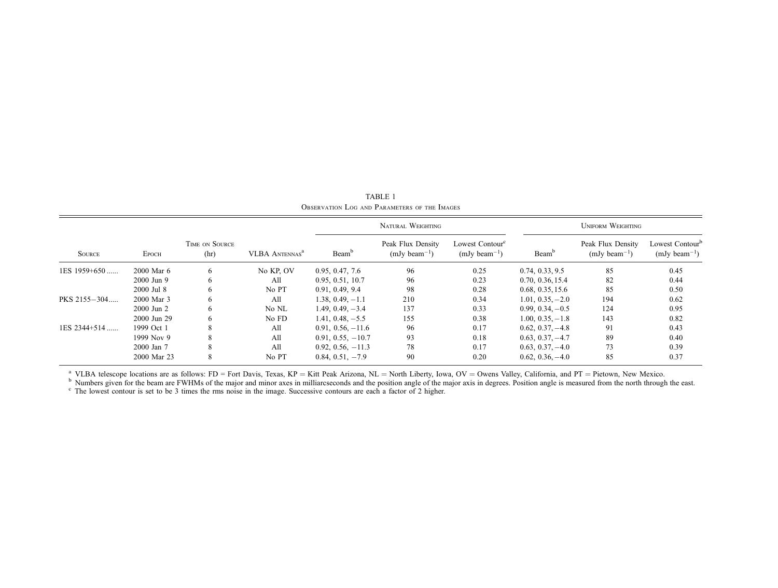| <b>SOURCE</b>  | Еросн          | TIME ON SOURCE<br>(hr) | <b>VLBA ANTENNAS<sup>a</sup></b> | NATURAL WEIGHTING   |                                        |                                                  | <b>UNIFORM WEIGHTING</b> |                                        |                                                  |
|----------------|----------------|------------------------|----------------------------------|---------------------|----------------------------------------|--------------------------------------------------|--------------------------|----------------------------------------|--------------------------------------------------|
|                |                |                        |                                  | Beam <sup>b</sup>   | Peak Flux Density<br>$(mJy beam^{-1})$ | Lowest Contour <sup>c</sup><br>$(mJy beam^{-1})$ | Beam <sup>t</sup>        | Peak Flux Density<br>$(mJy beam^{-1})$ | Lowest Contour <sup>b</sup><br>$(mJy beam^{-1})$ |
| 1ES 1959+650   | 2000 Mar 6     | 6                      | No KP, OV                        | 0.95, 0.47, 7.6     | 96                                     | 0.25                                             | 0.74, 0.33, 9.5          | 85                                     | 0.45                                             |
|                | 2000 Jun 9     | 6                      | All                              | 0.95, 0.51, 10.7    | 96                                     | 0.23                                             | 0.70, 0.36, 15.4         | 82                                     | 0.44                                             |
|                | 2000 Jul 8     | 6                      | No PT                            | 0.91, 0.49, 9.4     | 98                                     | 0.28                                             | 0.68, 0.35, 15.6         | 85                                     | 0.50                                             |
| PKS 2155-304   | 2000 Mar 3     | 6                      | A11                              | $1.38, 0.49, -1.1$  | 210                                    | 0.34                                             | $1.01, 0.35, -2.0$       | 194                                    | 0.62                                             |
|                | $2000$ Jun $2$ | 6                      | No NL                            | $1.49, 0.49, -3.4$  | 137                                    | 0.33                                             | $0.99, 0.34, -0.5$       | 124                                    | 0.95                                             |
|                | 2000 Jun 29    | 6                      | No FD                            | $1.41, 0.48, -5.5$  | 155                                    | 0.38                                             | $1.00, 0.35, -1.8$       | 143                                    | 0.82                                             |
| $1ES$ 2344+514 | 1999 Oct 1     | 8                      | All                              | $0.91, 0.56, -11.6$ | 96                                     | 0.17                                             | $0.62, 0.37, -4.8$       | 91                                     | 0.43                                             |
|                | 1999 Nov 9     | 8                      | A11                              | $0.91, 0.55, -10.7$ | 93                                     | 0.18                                             | $0.63, 0.37, -4.7$       | 89                                     | 0.40                                             |
|                | 2000 Jan 7     | 8                      | A11                              | $0.92, 0.56, -11.3$ | 78                                     | 0.17                                             | $0.63, 0.37, -4.0$       | 73                                     | 0.39                                             |
|                | 2000 Mar 23    | 8                      | No PT                            | $0.84, 0.51, -7.9$  | 90                                     | 0.20                                             | $0.62, 0.36, -4.0$       | 85                                     | 0.37                                             |

TABLE 1 Observation Log and Parameters of the Images

<sup>a</sup> VLBA telescope locations are as follows: FD = Fort Davis, Texas, KP = Kitt Peak Arizona, NL = North Liberty, Iowa, OV = Owens Valley, California, and PT = Pietown, New Mexico.<br><sup>b</sup> Numbers given for the beam are FWHMs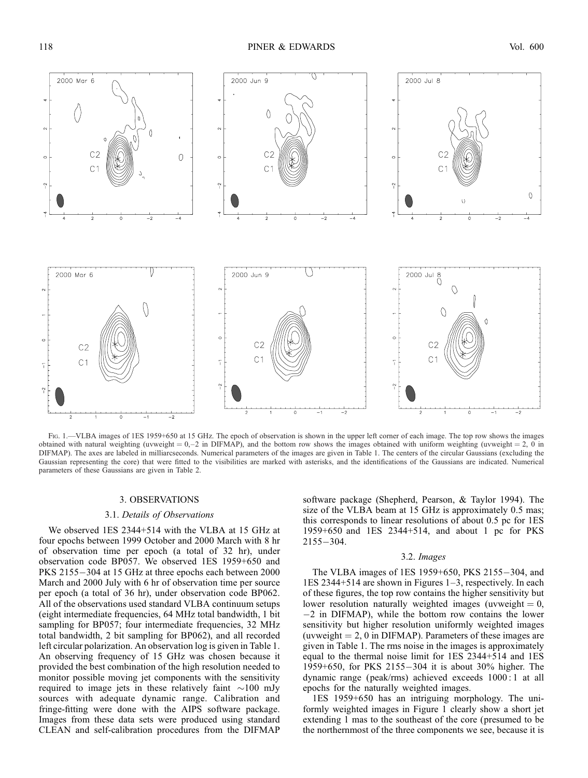

Fig. 1.—VLBA images of 1ES 1959+650 at 15 GHz. The epoch of observation is shown in the upper left corner of each image. The top row shows the images obtained with natural weighting (uvweight =  $0, -2$  in DIFMAP), and the bottom row shows the images obtained with uniform weighting (uvweight = 2, 0 in DIFMAP). The axes are labeled in milliarcseconds. Numerical parameters of the images are given in Table 1. The centers of the circular Gaussians (excluding the Gaussian representing the core) that were fitted to the visibilities are marked with asterisks, and the identifications of the Gaussians are indicated. Numerical parameters of these Gaussians are given in Table 2.

#### 3. OBSERVATIONS

#### 3.1. Details of Observations

We observed 1ES 2344+514 with the VLBA at 15 GHz at four epochs between 1999 October and 2000 March with 8 hr of observation time per epoch (a total of 32 hr), under observation code BP057. We observed 1ES 1959+650 and PKS 2155-304 at 15 GHz at three epochs each between 2000 March and 2000 July with 6 hr of observation time per source per epoch (a total of 36 hr), under observation code BP062. All of the observations used standard VLBA continuum setups (eight intermediate frequencies, 64 MHz total bandwidth, 1 bit sampling for BP057; four intermediate frequencies, 32 MHz total bandwidth, 2 bit sampling for BP062), and all recorded left circular polarization. An observation log is given in Table 1. An observing frequency of 15 GHz was chosen because it provided the best combination of the high resolution needed to monitor possible moving jet components with the sensitivity required to image jets in these relatively faint  $\sim$ 100 mJy sources with adequate dynamic range. Calibration and fringe-fitting were done with the AIPS software package. Images from these data sets were produced using standard CLEAN and self-calibration procedures from the DIFMAP

software package (Shepherd, Pearson, & Taylor 1994). The size of the VLBA beam at 15 GHz is approximately 0.5 mas; this corresponds to linear resolutions of about 0.5 pc for 1ES 1959+650 and 1ES 2344+514, and about 1 pc for PKS  $2155 - 304.$ 

#### 3.2. Images

The VLBA images of 1ES 1959+650, PKS 2155 $-$ 304, and 1ES 2344+514 are shown in Figures 1–3, respectively. In each of these figures, the top row contains the higher sensitivity but lower resolution naturally weighted images (uvweight  $= 0$ ,  $-2$  in DIFMAP), while the bottom row contains the lower sensitivity but higher resolution uniformly weighted images (uvweight  $= 2, 0$  in DIFMAP). Parameters of these images are given in Table 1. The rms noise in the images is approximately equal to the thermal noise limit for 1ES 2344+514 and 1ES 1959+650, for PKS 2155-304 it is about 30% higher. The dynamic range (peak/rms) achieved exceeds 1000 : 1 at all epochs for the naturally weighted images.

1ES 1959+650 has an intriguing morphology. The uniformly weighted images in Figure 1 clearly show a short jet extending 1 mas to the southeast of the core (presumed to be the northernmost of the three components we see, because it is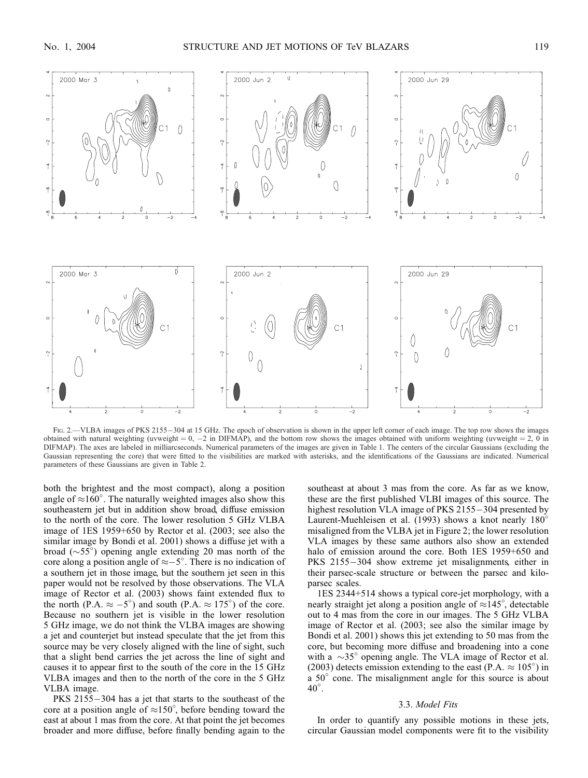

Fig. 2.—VLBA images of PKS 2155-304 at 15 GHz. The epoch of observation is shown in the upper left corner of each image. The top row shows the images obtained with natural weighting (uvweight =  $0, -2$  in DIFMAP), and the bottom row shows the images obtained with uniform weighting (uvweight =  $2, 0$  in DIFMAP). The axes are labeled in milliarcseconds. Numerical parameters of the images are given in Table 1. The centers of the circular Gaussians (excluding the Gaussian representing the core) that were fitted to the visibilities are marked with asterisks, and the identifications of the Gaussians are indicated. Numerical parameters of these Gaussians are given in Table 2.

both the brightest and the most compact), along a position angle of  $\approx 160^{\circ}$ . The naturally weighted images also show this southeastern jet but in addition show broad, diffuse emission to the north of the core. The lower resolution 5 GHz VLBA image of 1ES 1959+650 by Rector et al. (2003; see also the similar image by Bondi et al. 2001) shows a diffuse jet with a broad ( $\sim 55^{\circ}$ ) opening angle extending 20 mas north of the core along a position angle of  $\approx -5^\circ$ . There is no indication of a southern jet in those image, but the southern jet seen in this paper would not be resolved by those observations. The VLA image of Rector et al. (2003) shows faint extended flux to the north (P.A.  $\approx -5^{\circ}$ ) and south (P.A.  $\approx 175^{\circ}$ ) of the core. Because no southern jet is visible in the lower resolution 5 GHz image, we do not think the VLBA images are showing a jet and counterjet but instead speculate that the jet from this source may be very closely aligned with the line of sight, such that a slight bend carries the jet across the line of sight and causes it to appear first to the south of the core in the 15 GHz VLBA images and then to the north of the core in the 5 GHz VLBA image.

PKS  $2155 - 304$  has a jet that starts to the southeast of the core at a position angle of  $\approx 150^{\circ}$ , before bending toward the east at about 1 mas from the core. At that point the jet becomes broader and more diffuse, before finally bending again to the southeast at about 3 mas from the core. As far as we know, these are the first published VLBI images of this source. The highest resolution VLA image of PKS  $2155-304$  presented by Laurent-Muehleisen et al. (1993) shows a knot nearly 180° misaligned from the VLBA jet in Figure 2; the lower resolution VLA images by these same authors also show an extended halo of emission around the core. Both 1ES 1959+650 and PKS 2155-304 show extreme jet misalignments, either in their parsec-scale structure or between the parsec and kiloparsec scales.

1ES 2344+514 shows a typical core-jet morphology, with a nearly straight jet along a position angle of  $\approx 145^{\circ}$ , detectable out to 4 mas from the core in our images. The 5 GHz VLBA image of Rector et al. (2003; see also the similar image by Bondi et al. 2001) shows this jet extending to 50 mas from the core, but becoming more diffuse and broadening into a cone with a  $\sim$ 35° opening angle. The VLA image of Rector et al. (2003) detects emission extending to the east (P.A.  $\approx 105^{\circ}$ ) in a  $50^{\circ}$  cone. The misalignment angle for this source is about  $40^{\circ}$ .

### 3.3. Model Fits

In order to quantify any possible motions in these jets, circular Gaussian model components were fit to the visibility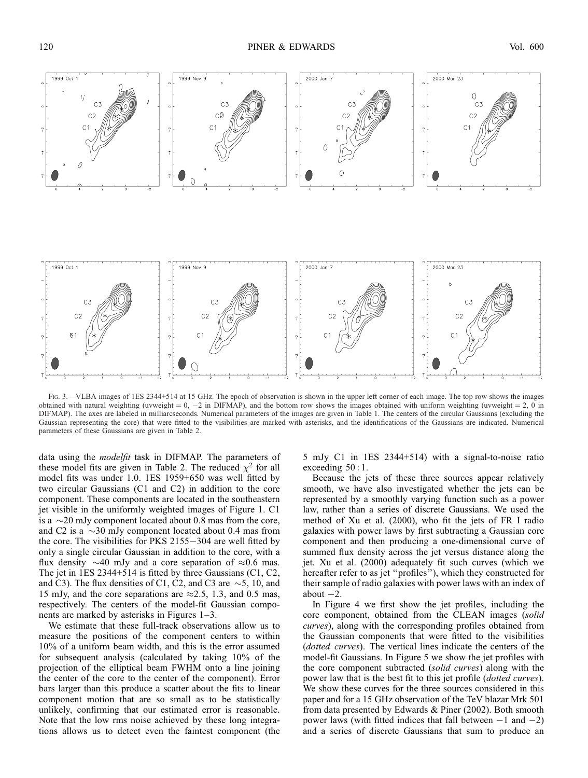

Fig. 3.—VLBA images of 1ES 2344+514 at 15 GHz. The epoch of observation is shown in the upper left corner of each image. The top row shows the images obtained with natural weighting (uvweight = 0, -2 in DIFMAP), and the bottom row shows the images obtained with uniform weighting (uvweight = 2, 0 in DIFMAP). The axes are labeled in milliarcseconds. Numerical parameters of the images are given in Table 1. The centers of the circular Gaussians (excluding the Gaussian representing the core) that were fitted to the visibilities are marked with asterisks, and the identifications of the Gaussians are indicated. Numerical parameters of these Gaussians are given in Table 2.

data using the *modelfit* task in DIFMAP. The parameters of these model fits are given in Table 2. The reduced  $\chi^2$  for all model fits was under 1.0. 1ES 1959+650 was well fitted by two circular Gaussians (C1 and C2) in addition to the core component. These components are located in the southeastern jet visible in the uniformly weighted images of Figure 1. C1 is a  $\sim$  20 mJy component located about 0.8 mas from the core, and C2 is a  $\sim$ 30 mJy component located about 0.4 mas from the core. The visibilities for PKS  $2155-304$  are well fitted by only a single circular Gaussian in addition to the core, with a flux density  $\sim$ 40 mJy and a core separation of  $\approx$ 0.6 mas. The jet in 1ES 2344+514 is fitted by three Gaussians (C1, C2, and C3). The flux densities of C1, C2, and C3 are  $\sim$ 5, 10, and 15 mJy, and the core separations are  $\approx$  2.5, 1.3, and 0.5 mas, respectively. The centers of the model-fit Gaussian components are marked by asterisks in Figures 1–3.

We estimate that these full-track observations allow us to measure the positions of the component centers to within 10% of a uniform beam width, and this is the error assumed for subsequent analysis (calculated by taking 10% of the projection of the elliptical beam FWHM onto a line joining the center of the core to the center of the component). Error bars larger than this produce a scatter about the fits to linear component motion that are so small as to be statistically unlikely, confirming that our estimated error is reasonable. Note that the low rms noise achieved by these long integrations allows us to detect even the faintest component (the

5 mJy C1 in 1ES 2344+514) with a signal-to-noise ratio exceeding 50 : 1.

Because the jets of these three sources appear relatively smooth, we have also investigated whether the jets can be represented by a smoothly varying function such as a power law, rather than a series of discrete Gaussians. We used the method of Xu et al. (2000), who fit the jets of FR I radio galaxies with power laws by first subtracting a Gaussian core component and then producing a one-dimensional curve of summed flux density across the jet versus distance along the jet. Xu et al. (2000) adequately fit such curves (which we hereafter refer to as jet "profiles"), which they constructed for their sample of radio galaxies with power laws with an index of about  $-2$ .

In Figure 4 we first show the jet profiles, including the core component, obtained from the CLEAN images (solid curves), along with the corresponding profiles obtained from the Gaussian components that were fitted to the visibilities (dotted curves). The vertical lines indicate the centers of the model-fit Gaussians. In Figure 5 we show the jet profiles with the core component subtracted (solid curves) along with the power law that is the best fit to this jet profile (dotted curves). We show these curves for the three sources considered in this paper and for a 15 GHz observation of the TeV blazar Mrk 501 from data presented by Edwards & Piner (2002). Both smooth power laws (with fitted indices that fall between  $-1$  and  $-2$ ) and a series of discrete Gaussians that sum to produce an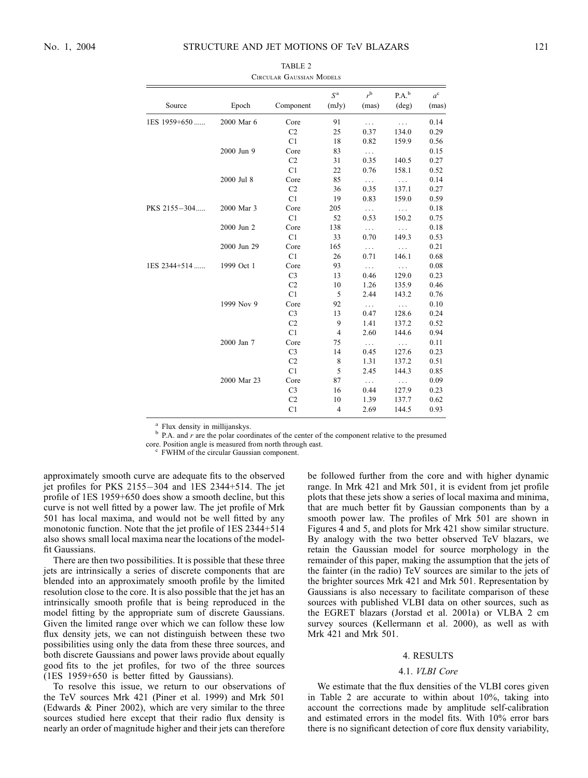| Epoch       | Component      | S <sup>a</sup><br>(mJy) | $r^{b}$<br>(mas) | $P.A.^b$<br>(deg) | $a^{\rm c}$<br>(mas) |
|-------------|----------------|-------------------------|------------------|-------------------|----------------------|
| 2000 Mar 6  | Core           | 91                      | .                |                   | 0.14                 |
|             | C <sub>2</sub> | 25                      | 0.37             | 134.0             | 0.29                 |
|             | C1             | 18                      | 0.82             | 159.9             | 0.56                 |
| 2000 Jun 9  | Core           | 83                      | $\ldots$         |                   | 0.15                 |
|             | C <sub>2</sub> | 31                      | 0.35             | 140.5             | 0.27                 |
|             | C <sub>1</sub> | 22                      | 0.76             | 158.1             | 0.52                 |
| 2000 Jul 8  | Core           | 85                      | $\ldots$         | .                 | 0.14                 |
|             | C <sub>2</sub> | 36                      | 0.35             | 137.1             | 0.27                 |
|             | C <sub>1</sub> | 19                      | 0.83             | 159.0             | 0.59                 |
| 2000 Mar 3  | Core           | 205                     | $\ldots$         | .                 | 0.18                 |
|             | C <sub>1</sub> | 52                      | 0.53             | 150.2             | 0.75                 |
| 2000 Jun 2  | Core           | 138                     | $\cdots$         | .                 | 0.18                 |
|             | C <sub>1</sub> | 33                      | 0.70             | 149.3             | 0.53                 |
| 2000 Jun 29 | Core           | 165                     | $\ldots$         | $\cdots$          | 0.21                 |
|             | C <sub>1</sub> | 26                      | 0.71             | 146.1             | 0.68                 |
| 1999 Oct 1  | Core           | 93                      | .                | .                 | 0.08                 |
|             | C <sub>3</sub> | 13                      | 0.46             | 129.0             | 0.23                 |
|             | C <sub>2</sub> | 10                      | 1.26             | 135.9             | 0.46                 |
|             | C1             | 5                       | 2.44             | 143.2             | 0.76                 |
| 1999 Nov 9  | Core           | 92                      | $\ldots$         | $\cdots$          | 0.10                 |
|             | C <sub>3</sub> | 13                      | 0.47             | 128.6             | 0.24                 |
|             | C <sub>2</sub> | 9                       | 1.41             | 137.2             | 0.52                 |
|             | C <sub>1</sub> | $\overline{4}$          | 2.60             | 144.6             | 0.94                 |

2000 Jan 7 Core 75 ... ... 0.11

2000 Mar 23 Core 87 ... ... 0.09

C3 14 0.45 127.6 0.23<br>C2 8 1.31 137.2 0.51 C2 8 1.31 137.2 0.51 C1 5 2.45 144.3 0.85

C3 16 0.44 127.9 0.23 C2 10 1.39 137.7 0.62 C1 4 2.69 144.5 0.93

| TABLE 2                  |  |  |  |  |  |  |
|--------------------------|--|--|--|--|--|--|
| TROUT AD GALLECLAN MODEL |  |  |  |  |  |  |

Source

1ES 1959+650 ...

PKS 2155-304

1ES 2344+514 ...

<sup>a</sup> Flux density in millijanskys.<br><sup>b</sup> P.A. and *r* are the polar coordinates of the center of the component relative to the presumed

core. Position angle is measured from north through east. <sup>c</sup> FWHM of the circular Gaussian component.

approximately smooth curve are adequate fits to the observed jet profiles for PKS  $2155-304$  and 1ES 2344+514. The jet profile of 1ES 1959+650 does show a smooth decline, but this curve is not well fitted by a power law. The jet profile of Mrk 501 has local maxima, and would not be well fitted by any monotonic function. Note that the jet profile of 1ES 2344+514 also shows small local maxima near the locations of the modelfit Gaussians.

There are then two possibilities. It is possible that these three jets are intrinsically a series of discrete components that are blended into an approximately smooth profile by the limited resolution close to the core. It is also possible that the jet has an intrinsically smooth profile that is being reproduced in the model fitting by the appropriate sum of discrete Gaussians. Given the limited range over which we can follow these low flux density jets, we can not distinguish between these two possibilities using only the data from these three sources, and both discrete Gaussians and power laws provide about equally good fits to the jet profiles, for two of the three sources (1ES 1959+650 is better fitted by Gaussians).

To resolve this issue, we return to our observations of the TeV sources Mrk 421 (Piner et al. 1999) and Mrk 501 (Edwards & Piner 2002), which are very similar to the three sources studied here except that their radio flux density is nearly an order of magnitude higher and their jets can therefore be followed further from the core and with higher dynamic range. In Mrk 421 and Mrk 501, it is evident from jet profile plots that these jets show a series of local maxima and minima, that are much better fit by Gaussian components than by a smooth power law. The profiles of Mrk 501 are shown in Figures 4 and 5, and plots for Mrk 421 show similar structure. By analogy with the two better observed TeV blazars, we retain the Gaussian model for source morphology in the remainder of this paper, making the assumption that the jets of the fainter (in the radio) TeV sources are similar to the jets of the brighter sources Mrk 421 and Mrk 501. Representation by Gaussians is also necessary to facilitate comparison of these sources with published VLBI data on other sources, such as the EGRET blazars (Jorstad et al. 2001a) or VLBA 2 cm survey sources (Kellermann et al. 2000), as well as with Mrk 421 and Mrk 501.

#### 4. RESULTS

#### 4.1. VLBI Core

We estimate that the flux densities of the VLBI cores given in Table 2 are accurate to within about 10%, taking into account the corrections made by amplitude self-calibration and estimated errors in the model fits. With 10% error bars there is no significant detection of core flux density variability,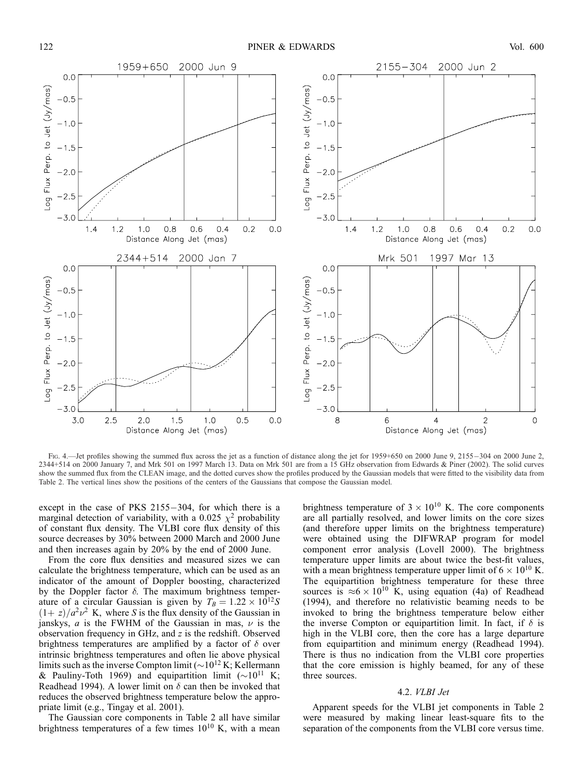

Fig. 4.—Jet profiles showing the summed flux across the jet as a function of distance along the jet for 1959+650 on 2000 June 9, 2155-304 on 2000 June 2, 2344+514 on 2000 January 7, and Mrk 501 on 1997 March 13. Data on Mrk 501 are from a 15 GHz observation from Edwards & Piner (2002). The solid curves show the summed flux from the CLEAN image, and the dotted curves show the profiles produced by the Gaussian models that were fitted to the visibility data from Table 2. The vertical lines show the positions of the centers of the Gaussians that compose the Gaussian model.

except in the case of PKS  $2155-304$ , for which there is a marginal detection of variability, with a 0.025  $\chi^2$  probability of constant flux density. The VLBI core flux density of this source decreases by 30% between 2000 March and 2000 June and then increases again by 20% by the end of 2000 June.

From the core flux densities and measured sizes we can calculate the brightness temperature, which can be used as an indicator of the amount of Doppler boosting, characterized by the Doppler factor  $\delta$ . The maximum brightness temperature of a circular Gaussian is given by  $T_B = 1.22 \times 10^{12} S$  $(1+z)/a^2 \nu^2$  K, where S is the flux density of the Gaussian in janskys, *a* is the FWHM of the Gaussian in mas,  $\nu$  is the observation frequency in GHz, and z is the redshift. Observed brightness temperatures are amplified by a factor of  $\delta$  over intrinsic brightness temperatures and often lie above physical limits such as the inverse Compton limit ( $\sim$ 10<sup>12</sup> K; Kellermann & Pauliny-Toth 1969) and equipartition limit  $({\sim}10^{11}$  K; Readhead 1994). A lower limit on  $\delta$  can then be invoked that reduces the observed brightness temperature below the appropriate limit (e.g., Tingay et al. 2001).

The Gaussian core components in Table 2 all have similar brightness temperatures of a few times  $10^{10}$  K, with a mean brightness temperature of  $3 \times 10^{10}$  K. The core components are all partially resolved, and lower limits on the core sizes (and therefore upper limits on the brightness temperature) were obtained using the DIFWRAP program for model component error analysis (Lovell 2000). The brightness temperature upper limits are about twice the best-fit values, with a mean brightness temperature upper limit of  $6 \times 10^{10}$  K. The equipartition brightness temperature for these three sources is  $\approx 6 \times 10^{10}$  K, using equation (4a) of Readhead (1994), and therefore no relativistic beaming needs to be invoked to bring the brightness temperature below either the inverse Compton or equipartition limit. In fact, if  $\delta$  is high in the VLBI core, then the core has a large departure from equipartition and minimum energy (Readhead 1994). There is thus no indication from the VLBI core properties that the core emission is highly beamed, for any of these three sources.

### 4.2. VLBI Jet

Apparent speeds for the VLBI jet components in Table 2 were measured by making linear least-square fits to the separation of the components from the VLBI core versus time.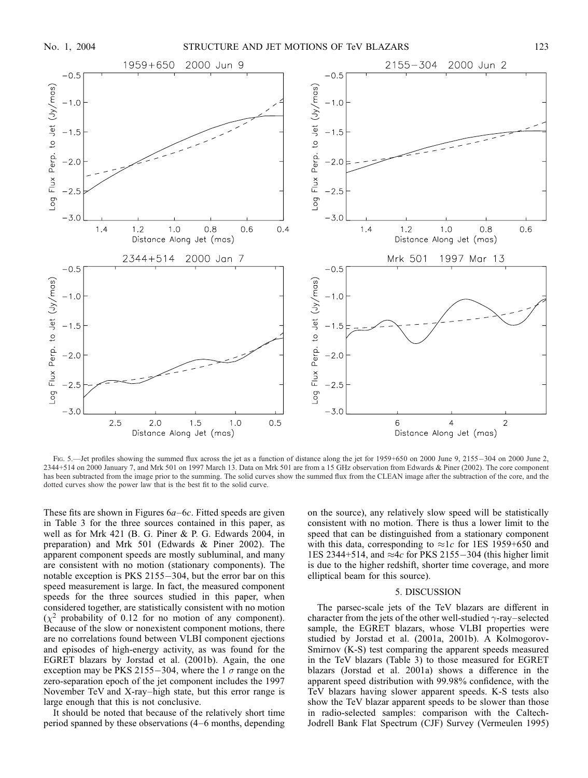

Fig. 5.—Jet profiles showing the summed flux across the jet as a function of distance along the jet for 1959+650 on 2000 June 9, 2155-304 on 2000 June 2, 2344+514 on 2000 January 7, and Mrk 501 on 1997 March 13. Data on Mrk 501 are from a 15 GHz observation from Edwards & Piner (2002). The core component has been subtracted from the image prior to the summing. The solid curves show the summed flux from the CLEAN image after the subtraction of the core, and the dotted curves show the power law that is the best fit to the solid curve.

These fits are shown in Figures  $6a-6c$ . Fitted speeds are given in Table 3 for the three sources contained in this paper, as well as for Mrk 421 (B. G. Piner & P. G. Edwards 2004, in preparation) and Mrk 501 (Edwards & Piner 2002). The apparent component speeds are mostly subluminal, and many are consistent with no motion (stationary components). The notable exception is  $PKS$  2155 $-304$ , but the error bar on this speed measurement is large. In fact, the measured component speeds for the three sources studied in this paper, when considered together, are statistically consistent with no motion  $(\chi^2$  probability of 0.12 for no motion of any component). Because of the slow or nonexistent component motions, there are no correlations found between VLBI component ejections and episodes of high-energy activity, as was found for the EGRET blazars by Jorstad et al. (2001b). Again, the one exception may be PKS 2155-304, where the 1  $\sigma$  range on the zero-separation epoch of the jet component includes the 1997 November TeV and X-ray–high state, but this error range is large enough that this is not conclusive.

It should be noted that because of the relatively short time period spanned by these observations (4–6 months, depending on the source), any relatively slow speed will be statistically consistent with no motion. There is thus a lower limit to the speed that can be distinguished from a stationary component with this data, corresponding to  $\approx 1c$  for 1ES 1959+650 and 1ES 2344+514, and  $\approx 4c$  for PKS 2155-304 (this higher limit is due to the higher redshift, shorter time coverage, and more elliptical beam for this source).

#### 5. DISCUSSION

The parsec-scale jets of the TeV blazars are different in character from the jets of the other well-studied  $\gamma$ -ray–selected sample, the EGRET blazars, whose VLBI properties were studied by Jorstad et al. (2001a, 2001b). A Kolmogorov-Smirnov (K-S) test comparing the apparent speeds measured in the TeV blazars (Table 3) to those measured for EGRET blazars (Jorstad et al. 2001a) shows a difference in the apparent speed distribution with 99.98% confidence, with the TeV blazars having slower apparent speeds. K-S tests also show the TeV blazar apparent speeds to be slower than those in radio-selected samples: comparison with the Caltech-Jodrell Bank Flat Spectrum (CJF) Survey (Vermeulen 1995)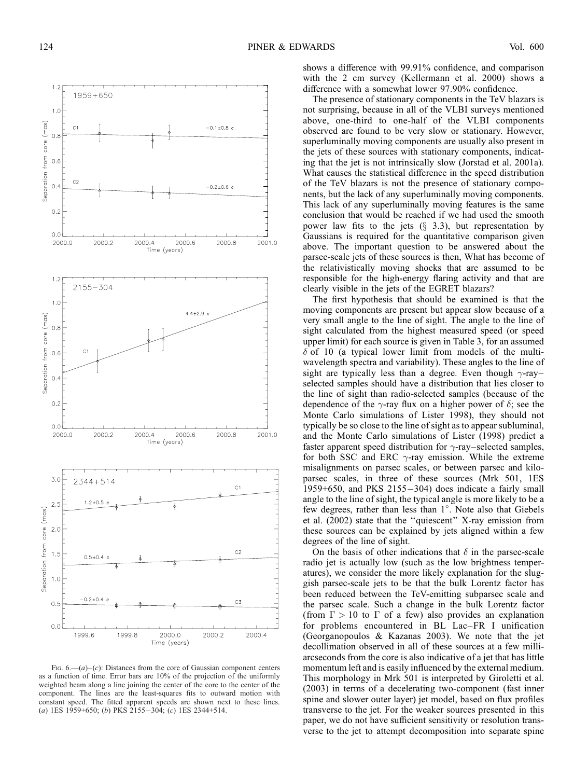

Fig.  $6, -(a)-(c)$ : Distances from the core of Gaussian component centers as a function of time. Error bars are 10% of the projection of the uniformly weighted beam along a line joining the center of the core to the center of the component. The lines are the least-squares fits to outward motion with constant speed. The fitted apparent speeds are shown next to these lines. (a) 1ES 1959+650; (b) PKS 2155-304; (c) 1ES 2344+514.

shows a difference with 99.91% confidence, and comparison with the 2 cm survey (Kellermann et al. 2000) shows a difference with a somewhat lower 97.90% confidence.

The presence of stationary components in the TeV blazars is not surprising, because in all of the VLBI surveys mentioned above, one-third to one-half of the VLBI components observed are found to be very slow or stationary. However, superluminally moving components are usually also present in the jets of these sources with stationary components, indicating that the jet is not intrinsically slow (Jorstad et al. 2001a). What causes the statistical difference in the speed distribution of the TeV blazars is not the presence of stationary components, but the lack of any superluminally moving components. This lack of any superluminally moving features is the same conclusion that would be reached if we had used the smooth power law fits to the jets  $(\S$  3.3), but representation by Gaussians is required for the quantitative comparison given above. The important question to be answered about the parsec-scale jets of these sources is then, What has become of the relativistically moving shocks that are assumed to be responsible for the high-energy flaring activity and that are clearly visible in the jets of the EGRET blazars?

The first hypothesis that should be examined is that the moving components are present but appear slow because of a very small angle to the line of sight. The angle to the line of sight calculated from the highest measured speed (or speed upper limit) for each source is given in Table 3, for an assumed  $\delta$  of 10 (a typical lower limit from models of the multiwavelength spectra and variability). These angles to the line of sight are typically less than a degree. Even though  $\gamma$ -ray– selected samples should have a distribution that lies closer to the line of sight than radio-selected samples (because of the dependence of the  $\gamma$ -ray flux on a higher power of  $\delta$ ; see the Monte Carlo simulations of Lister 1998), they should not typically be so close to the line of sight as to appear subluminal, and the Monte Carlo simulations of Lister (1998) predict a faster apparent speed distribution for  $\gamma$ -ray–selected samples, for both SSC and ERC  $\gamma$ -ray emission. While the extreme misalignments on parsec scales, or between parsec and kiloparsec scales, in three of these sources (Mrk 501, 1ES  $1959+650$ , and PKS  $2155-304$ ) does indicate a fairly small angle to the line of sight, the typical angle is more likely to be a few degrees, rather than less than 1°. Note also that Giebels et al. (2002) state that the ''quiescent'' X-ray emission from these sources can be explained by jets aligned within a few degrees of the line of sight.

On the basis of other indications that  $\delta$  in the parsec-scale radio jet is actually low (such as the low brightness temperatures), we consider the more likely explanation for the sluggish parsec-scale jets to be that the bulk Lorentz factor has been reduced between the TeV-emitting subparsec scale and the parsec scale. Such a change in the bulk Lorentz factor (from  $\Gamma > 10$  to  $\Gamma$  of a few) also provides an explanation for problems encountered in BL Lac–FR I unification (Georganopoulos & Kazanas 2003). We note that the jet decollimation observed in all of these sources at a few milliarcseconds from the core is also indicative of a jet that has little momentum left and is easily influenced by the external medium. This morphology in Mrk 501 is interpreted by Giroletti et al. (2003) in terms of a decelerating two-component (fast inner spine and slower outer layer) jet model, based on flux profiles transverse to the jet. For the weaker sources presented in this paper, we do not have sufficient sensitivity or resolution transverse to the jet to attempt decomposition into separate spine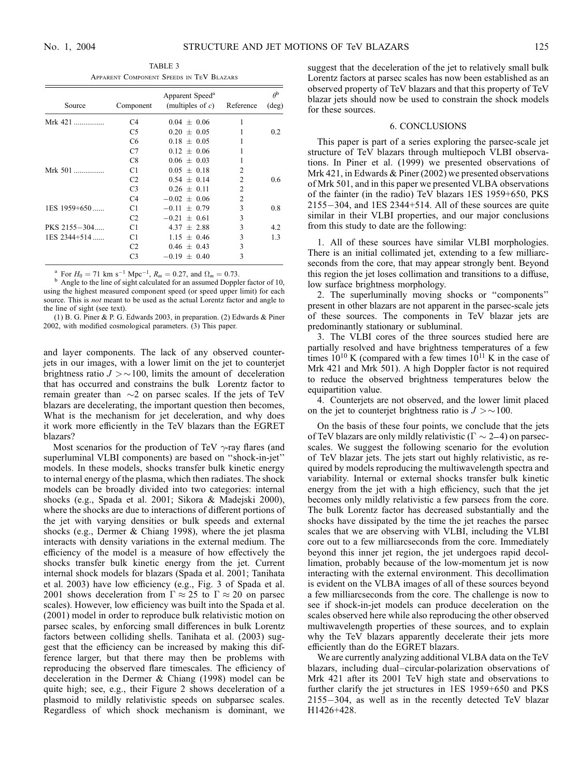TABLE 3 Apparent Component Speeds in TeV Blazars

|                |                | Apparent Speed <sup>a</sup> |                | $\theta^{\rm b}$ |
|----------------|----------------|-----------------------------|----------------|------------------|
| Source         | Component      | (multiples of $c$ )         | Reference      | $(\text{deg})$   |
| Mrk 421        | C4             | $0.04 + 0.06$               | 1              |                  |
|                | C <sub>5</sub> | $0.20 + 0.05$               | 1              | 0.2              |
|                | C <sub>6</sub> | $0.18 + 0.05$               |                |                  |
|                | C7             | $0.12 + 0.06$               |                |                  |
|                | C8             | $0.06 + 0.03$               | 1              |                  |
| Mrk 501        | C1             | $0.05 + 0.18$               | $\overline{c}$ |                  |
|                | C <sub>2</sub> | $0.54 + 0.14$               | $\overline{2}$ | 0.6              |
|                | C <sub>3</sub> | $0.26 \pm 0.11$             | $\overline{c}$ |                  |
|                | C4             | $-0.02 + 0.06$              | $\overline{c}$ |                  |
| 1ES 1959+650   | C <sub>1</sub> | $-0.11 + 0.79$              | 3              | 0.8              |
|                | C <sub>2</sub> | $-0.21 \pm 0.61$            | 3              |                  |
| PKS 2155-304   | C <sub>1</sub> | $4.37 + 2.88$               | 3              | 4.2              |
| $1ES$ 2344+514 | C <sub>1</sub> | $1.15 + 0.46$               | 3              | 1.3              |
|                | C <sub>2</sub> | $0.46 + 0.43$               | 3              |                  |
|                | C <sub>3</sub> | $-0.19 + 0.40$              | 3              |                  |

<sup>a</sup> For  $H_0 = 71$  km s<sup>-1</sup> Mpc<sup>-1</sup>,  $R_m = 0.27$ , and  $\Omega_m = 0.73$ .

 $h$  Angle to the line of sight calculated for an assumed Doppler factor of 10, using the highest measured component speed (or speed upper limit) for each source. This is not meant to be used as the actual Lorentz factor and angle to the line of sight (see text).

(1) B. G. Piner & P. G. Edwards 2003, in preparation. (2) Edwards & Piner 2002, with modified cosmological parameters. (3) This paper.

and layer components. The lack of any observed counterjets in our images, with a lower limit on the jet to counterjet brightness ratio  $J > \sim 100$ , limits the amount of deceleration that has occurred and constrains the bulk Lorentz factor to remain greater than  $\sim$ 2 on parsec scales. If the jets of TeV blazars are decelerating, the important question then becomes, What is the mechanism for jet deceleration, and why does it work more efficiently in the TeV blazars than the EGRET blazars?

Most scenarios for the production of TeV  $\gamma$ -ray flares (and superluminal VLBI components) are based on ''shock-in-jet'' models. In these models, shocks transfer bulk kinetic energy to internal energy of the plasma, which then radiates. The shock models can be broadly divided into two categories: internal shocks (e.g., Spada et al. 2001; Sikora & Madejski 2000), where the shocks are due to interactions of different portions of the jet with varying densities or bulk speeds and external shocks (e.g., Dermer & Chiang 1998), where the jet plasma interacts with density variations in the external medium. The efficiency of the model is a measure of how effectively the shocks transfer bulk kinetic energy from the jet. Current internal shock models for blazars (Spada et al. 2001; Tanihata et al. 2003) have low efficiency (e.g., Fig. 3 of Spada et al. 2001 shows deceleration from  $\Gamma \approx 25$  to  $\Gamma \approx 20$  on parsec scales). However, low efficiency was built into the Spada et al. (2001) model in order to reproduce bulk relativistic motion on parsec scales, by enforcing small differences in bulk Lorentz factors between colliding shells. Tanihata et al. (2003) suggest that the efficiency can be increased by making this difference larger, but that there may then be problems with reproducing the observed flare timescales. The efficiency of deceleration in the Dermer & Chiang (1998) model can be quite high; see, e.g., their Figure 2 shows deceleration of a plasmoid to mildly relativistic speeds on subparsec scales. Regardless of which shock mechanism is dominant, we suggest that the deceleration of the jet to relatively small bulk Lorentz factors at parsec scales has now been established as an observed property of TeV blazars and that this property of TeV blazar jets should now be used to constrain the shock models for these sources.

#### 6. CONCLUSIONS

This paper is part of a series exploring the parsec-scale jet structure of TeV blazars through multiepoch VLBI observations. In Piner et al. (1999) we presented observations of Mrk 421, in Edwards & Piner (2002) we presented observations of Mrk 501, and in this paper we presented VLBA observations of the fainter (in the radio) TeV blazars 1ES 1959+650, PKS  $2155-304$ , and  $1ES$   $2344+514$ . All of these sources are quite similar in their VLBI properties, and our major conclusions from this study to date are the following:

1. All of these sources have similar VLBI morphologies. There is an initial collimated jet, extending to a few milliarcseconds from the core, that may appear strongly bent. Beyond this region the jet loses collimation and transitions to a diffuse, low surface brightness morphology.

2. The superluminally moving shocks or ''components'' present in other blazars are not apparent in the parsec-scale jets of these sources. The components in TeV blazar jets are predominantly stationary or subluminal.

3. The VLBI cores of the three sources studied here are partially resolved and have brightness temperatures of a few times  $10^{10}$  K (compared with a few times  $10^{11}$  K in the case of Mrk 421 and Mrk 501). A high Doppler factor is not required to reduce the observed brightness temperatures below the equipartition value.

4. Counterjets are not observed, and the lower limit placed on the jet to counterjet brightness ratio is  $J > \sim 100$ .

On the basis of these four points, we conclude that the jets of TeV blazars are only mildly relativistic ( $\Gamma \sim 2-4$ ) on parsecscales. We suggest the following scenario for the evolution of TeV blazar jets. The jets start out highly relativistic, as required by models reproducing the multiwavelength spectra and variability. Internal or external shocks transfer bulk kinetic energy from the jet with a high efficiency, such that the jet becomes only mildly relativistic a few parsecs from the core. The bulk Lorentz factor has decreased substantially and the shocks have dissipated by the time the jet reaches the parsec scales that we are observing with VLBI, including the VLBI core out to a few milliarcseconds from the core. Immediately beyond this inner jet region, the jet undergoes rapid decollimation, probably because of the low-momentum jet is now interacting with the external environment. This decollimation is evident on the VLBA images of all of these sources beyond a few milliarcseconds from the core. The challenge is now to see if shock-in-jet models can produce deceleration on the scales observed here while also reproducing the other observed multiwavelength properties of these sources, and to explain why the TeV blazars apparently decelerate their jets more efficiently than do the EGRET blazars.

We are currently analyzing additional VLBA data on the TeV blazars, including dual–circular-polarization observations of Mrk 421 after its 2001 TeV high state and observations to further clarify the jet structures in 1ES 1959+650 and PKS  $2155 - 304$ , as well as in the recently detected TeV blazar H1426+428.